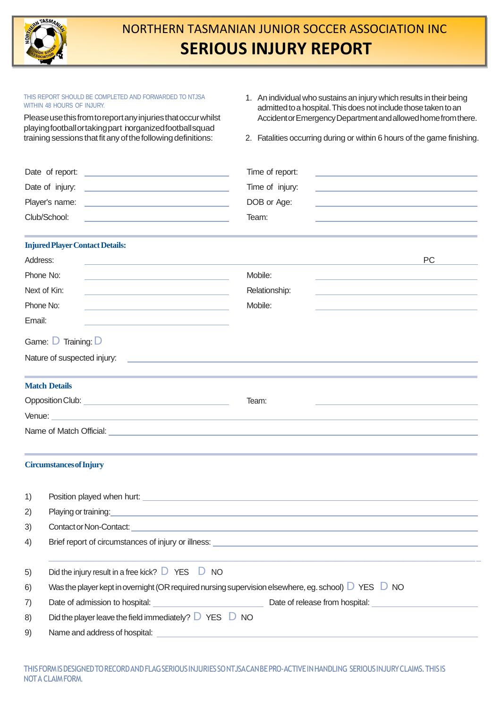

## NORTHERN TASMANIAN JUNIOR SOCCER ASSOCIATION INC **SERIOUS INJURY REPORT**

| THIS REPORT SHOULD BE COMPLETED AND FORWARDED TO NTJSA<br>WITHIN 48 HOURS OF INJURY.                                                                                                 |                                                                                                                                                                                                                                | 1. An individual who sustains an injury which results in their being                          |                                                                                                                                  |                                                                         |  |  |  |
|--------------------------------------------------------------------------------------------------------------------------------------------------------------------------------------|--------------------------------------------------------------------------------------------------------------------------------------------------------------------------------------------------------------------------------|-----------------------------------------------------------------------------------------------|----------------------------------------------------------------------------------------------------------------------------------|-------------------------------------------------------------------------|--|--|--|
| Please use this from to report any injuries that occur whilst<br>playingfootballortakingpart norganizedfootballsquad<br>training sessions that fit any of the following definitions: |                                                                                                                                                                                                                                |                                                                                               | admitted to a hospital. This does not include those taken to an<br>Accident or Emergency Department and allowed home from there. |                                                                         |  |  |  |
|                                                                                                                                                                                      |                                                                                                                                                                                                                                |                                                                                               |                                                                                                                                  | 2. Fatalities occurring during or within 6 hours of the game finishing. |  |  |  |
|                                                                                                                                                                                      |                                                                                                                                                                                                                                |                                                                                               |                                                                                                                                  |                                                                         |  |  |  |
|                                                                                                                                                                                      |                                                                                                                                                                                                                                | Time of report:<br>the control of the control of the control of the control of the control of |                                                                                                                                  |                                                                         |  |  |  |
|                                                                                                                                                                                      |                                                                                                                                                                                                                                |                                                                                               | Time of injury:                                                                                                                  |                                                                         |  |  |  |
|                                                                                                                                                                                      |                                                                                                                                                                                                                                |                                                                                               | DOB or Age:                                                                                                                      |                                                                         |  |  |  |
| Club/School:                                                                                                                                                                         |                                                                                                                                                                                                                                |                                                                                               | Team:                                                                                                                            |                                                                         |  |  |  |
|                                                                                                                                                                                      | <b>Injured Player Contact Details:</b>                                                                                                                                                                                         |                                                                                               |                                                                                                                                  |                                                                         |  |  |  |
| Address:                                                                                                                                                                             |                                                                                                                                                                                                                                |                                                                                               |                                                                                                                                  | <b>PC</b>                                                               |  |  |  |
| Phone No:                                                                                                                                                                            |                                                                                                                                                                                                                                |                                                                                               | Mobile:                                                                                                                          |                                                                         |  |  |  |
|                                                                                                                                                                                      | Next of Kin:<br><u> 1989 - Johann Stoff, fransk politik (d. 1989)</u>                                                                                                                                                          |                                                                                               | Relationship:                                                                                                                    |                                                                         |  |  |  |
| Phone No:                                                                                                                                                                            | <u> 1980 - Johann Barn, mars ann an t-Amhain ann an t-Amhain an t-Amhain an t-Amhain an t-Amhain an t-Amhain an t-</u>                                                                                                         |                                                                                               | Mobile:                                                                                                                          |                                                                         |  |  |  |
| Email:                                                                                                                                                                               |                                                                                                                                                                                                                                |                                                                                               |                                                                                                                                  |                                                                         |  |  |  |
|                                                                                                                                                                                      | Game: D Training: D                                                                                                                                                                                                            |                                                                                               |                                                                                                                                  |                                                                         |  |  |  |
|                                                                                                                                                                                      | Nature of suspected injury:<br><u> 1989 - Johann Stoff, deutscher Stoff, der Stoff, der Stoff, der Stoff, der Stoff, der Stoff, der Stoff, der S</u>                                                                           |                                                                                               |                                                                                                                                  |                                                                         |  |  |  |
|                                                                                                                                                                                      | <b>Match Details</b>                                                                                                                                                                                                           |                                                                                               |                                                                                                                                  |                                                                         |  |  |  |
|                                                                                                                                                                                      |                                                                                                                                                                                                                                |                                                                                               | Team:                                                                                                                            |                                                                         |  |  |  |
|                                                                                                                                                                                      | Venue: <u>Contract Communication and Communication and Communication and Communication</u>                                                                                                                                     |                                                                                               |                                                                                                                                  |                                                                         |  |  |  |
|                                                                                                                                                                                      | Name of Match Official: New York Channels and the Channels of Match Official:                                                                                                                                                  |                                                                                               |                                                                                                                                  |                                                                         |  |  |  |
|                                                                                                                                                                                      | <b>Circumstances of Injury</b>                                                                                                                                                                                                 |                                                                                               |                                                                                                                                  |                                                                         |  |  |  |
|                                                                                                                                                                                      |                                                                                                                                                                                                                                |                                                                                               |                                                                                                                                  |                                                                         |  |  |  |
| 1)                                                                                                                                                                                   |                                                                                                                                                                                                                                |                                                                                               |                                                                                                                                  |                                                                         |  |  |  |
| 2)                                                                                                                                                                                   | Playing or training: the contract of the contract of the contract of the contract of the contract of the contract of the contract of the contract of the contract of the contract of the contract of the contract of the contr |                                                                                               |                                                                                                                                  |                                                                         |  |  |  |
| 3)                                                                                                                                                                                   |                                                                                                                                                                                                                                |                                                                                               |                                                                                                                                  |                                                                         |  |  |  |
| 4)                                                                                                                                                                                   |                                                                                                                                                                                                                                |                                                                                               |                                                                                                                                  |                                                                         |  |  |  |
| 5)                                                                                                                                                                                   | Did the injury result in a free kick? $\Box$ YES $\Box$ NO                                                                                                                                                                     |                                                                                               |                                                                                                                                  |                                                                         |  |  |  |
| 6)                                                                                                                                                                                   | Was the player kept in overnight (OR required nursing supervision elsewhere, eg. school) $D$ YES $D$ NO                                                                                                                        |                                                                                               |                                                                                                                                  |                                                                         |  |  |  |
| 7)                                                                                                                                                                                   | Date of admission to hospital: example and and all parts of release from hospital: example and all parts of release from hospital:                                                                                             |                                                                                               |                                                                                                                                  |                                                                         |  |  |  |
| 8)                                                                                                                                                                                   | Did the player leave the field immediately? $\Box$ YES $\Box$ NO                                                                                                                                                               |                                                                                               |                                                                                                                                  |                                                                         |  |  |  |
| 9)                                                                                                                                                                                   |                                                                                                                                                                                                                                |                                                                                               |                                                                                                                                  |                                                                         |  |  |  |